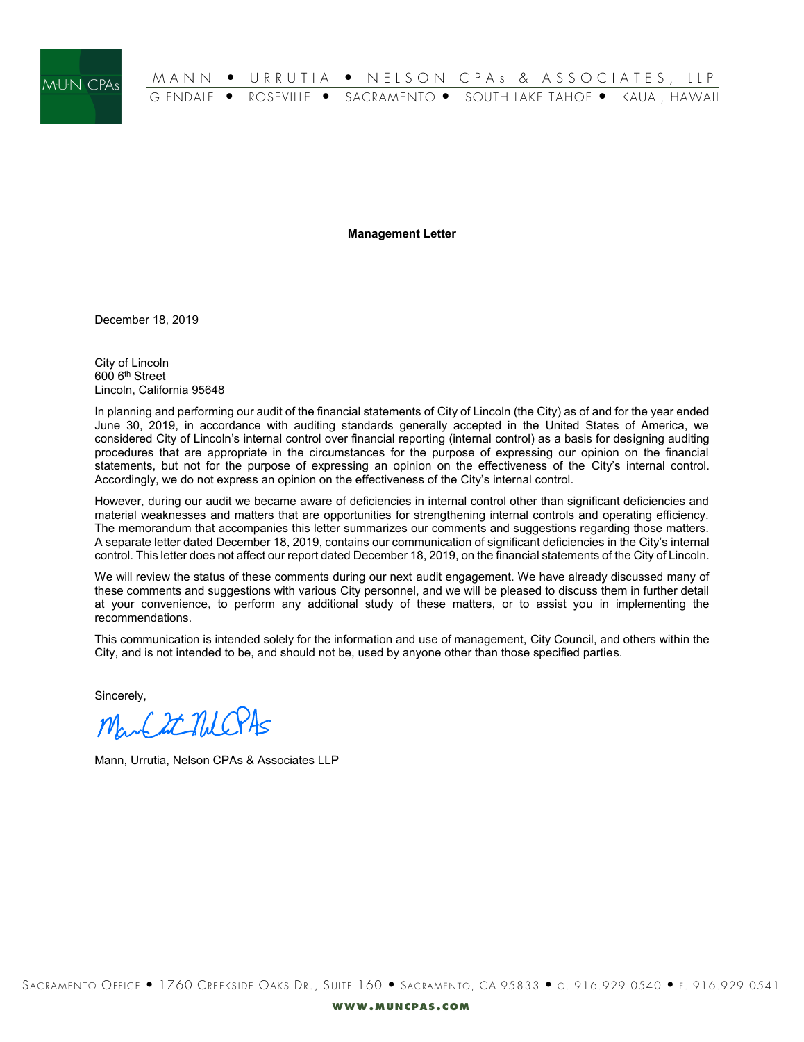

**Management Letter**

December 18, 2019

City of Lincoln 600 6th Street Lincoln, California 95648

In planning and performing our audit of the financial statements of City of Lincoln (the City) as of and for the year ended June 30, 2019, in accordance with auditing standards generally accepted in the United States of America, we considered City of Lincoln's internal control over financial reporting (internal control) as a basis for designing auditing procedures that are appropriate in the circumstances for the purpose of expressing our opinion on the financial statements, but not for the purpose of expressing an opinion on the effectiveness of the City's internal control. Accordingly, we do not express an opinion on the effectiveness of the City's internal control.

However, during our audit we became aware of deficiencies in internal control other than significant deficiencies and material weaknesses and matters that are opportunities for strengthening internal controls and operating efficiency. The memorandum that accompanies this letter summarizes our comments and suggestions regarding those matters. A separate letter dated December 18, 2019, contains our communication of significant deficiencies in the City's internal control. This letter does not affect our report dated December 18, 2019, on the financial statements of the City of Lincoln.

We will review the status of these comments during our next audit engagement. We have already discussed many of these comments and suggestions with various City personnel, and we will be pleased to discuss them in further detail at your convenience, to perform any additional study of these matters, or to assist you in implementing the recommendations.

This communication is intended solely for the information and use of management, City Council, and others within the City, and is not intended to be, and should not be, used by anyone other than those specified parties.

Sincerely,

Man Est NUCPAS

Mann, Urrutia, Nelson CPAs & Associates LLP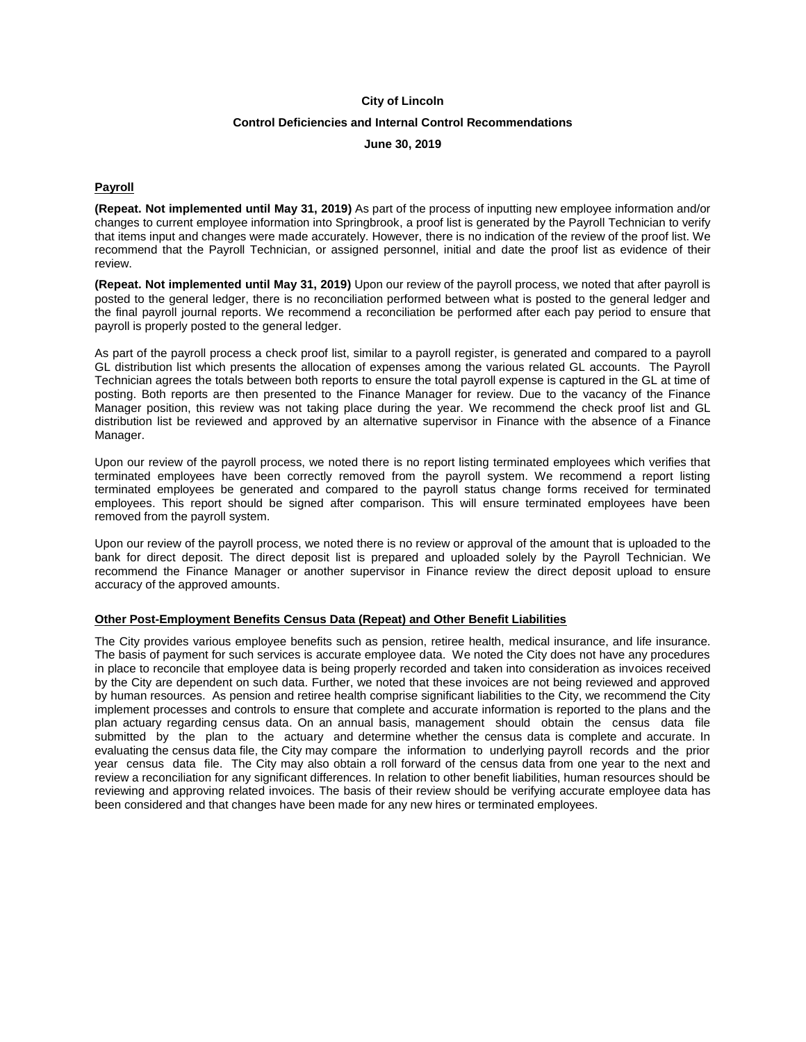# **Control Deficiencies and Internal Control Recommendations**

### **June 30, 2019**

### **Payroll**

**(Repeat. Not implemented until May 31, 2019)** As part of the process of inputting new employee information and/or changes to current employee information into Springbrook, a proof list is generated by the Payroll Technician to verify that items input and changes were made accurately. However, there is no indication of the review of the proof list. We recommend that the Payroll Technician, or assigned personnel, initial and date the proof list as evidence of their review.

**(Repeat. Not implemented until May 31, 2019)** Upon our review of the payroll process, we noted that after payroll is posted to the general ledger, there is no reconciliation performed between what is posted to the general ledger and the final payroll journal reports. We recommend a reconciliation be performed after each pay period to ensure that payroll is properly posted to the general ledger.

As part of the payroll process a check proof list, similar to a payroll register, is generated and compared to a payroll GL distribution list which presents the allocation of expenses among the various related GL accounts. The Payroll Technician agrees the totals between both reports to ensure the total payroll expense is captured in the GL at time of posting. Both reports are then presented to the Finance Manager for review. Due to the vacancy of the Finance Manager position, this review was not taking place during the year. We recommend the check proof list and GL distribution list be reviewed and approved by an alternative supervisor in Finance with the absence of a Finance Manager.

Upon our review of the payroll process, we noted there is no report listing terminated employees which verifies that terminated employees have been correctly removed from the payroll system. We recommend a report listing terminated employees be generated and compared to the payroll status change forms received for terminated employees. This report should be signed after comparison. This will ensure terminated employees have been removed from the payroll system.

Upon our review of the payroll process, we noted there is no review or approval of the amount that is uploaded to the bank for direct deposit. The direct deposit list is prepared and uploaded solely by the Payroll Technician. We recommend the Finance Manager or another supervisor in Finance review the direct deposit upload to ensure accuracy of the approved amounts.

#### **Other Post-Employment Benefits Census Data (Repeat) and Other Benefit Liabilities**

The City provides various employee benefits such as pension, retiree health, medical insurance, and life insurance. The basis of payment for such services is accurate employee data. We noted the City does not have any procedures in place to reconcile that employee data is being properly recorded and taken into consideration as invoices received by the City are dependent on such data. Further, we noted that these invoices are not being reviewed and approved by human resources. As pension and retiree health comprise significant liabilities to the City, we recommend the City implement processes and controls to ensure that complete and accurate information is reported to the plans and the plan actuary regarding census data. On an annual basis, management should obtain the census data file submitted by the plan to the actuary and determine whether the census data is complete and accurate. In evaluating the census data file, the City may compare the information to underlying payroll records and the prior year census data file. The City may also obtain a roll forward of the census data from one year to the next and review a reconciliation for any significant differences. In relation to other benefit liabilities, human resources should be reviewing and approving related invoices. The basis of their review should be verifying accurate employee data has been considered and that changes have been made for any new hires or terminated employees.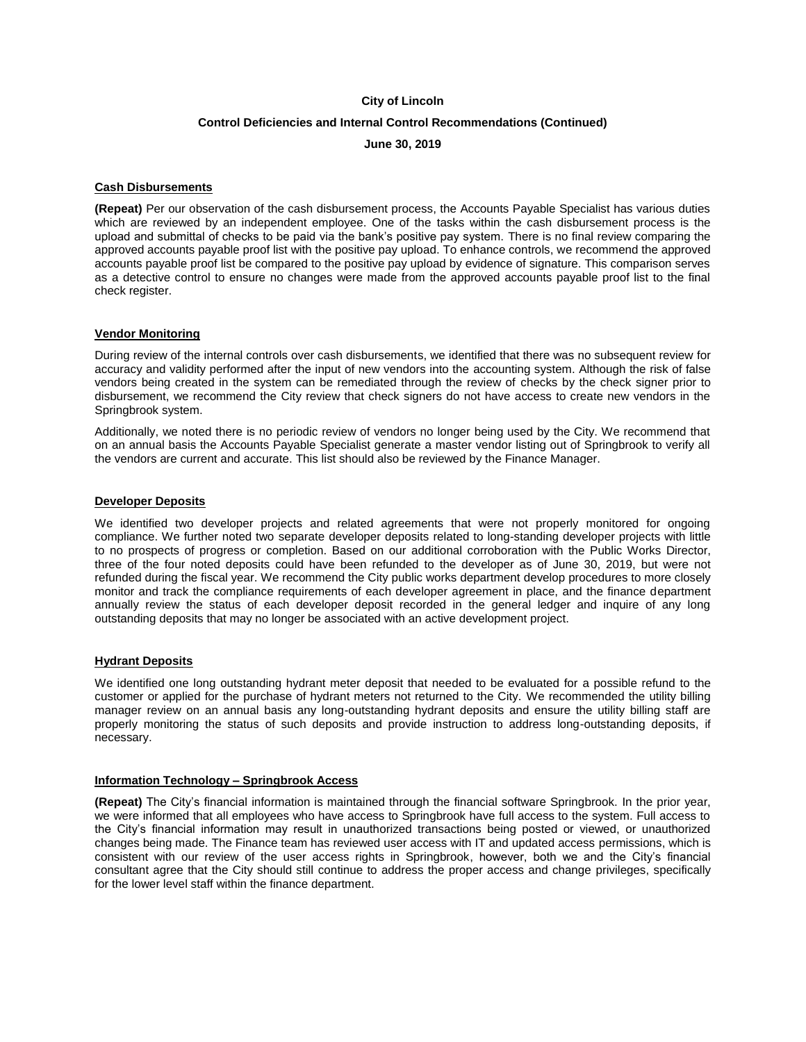# **Control Deficiencies and Internal Control Recommendations (Continued)**

**June 30, 2019**

### **Cash Disbursements**

**(Repeat)** Per our observation of the cash disbursement process, the Accounts Payable Specialist has various duties which are reviewed by an independent employee. One of the tasks within the cash disbursement process is the upload and submittal of checks to be paid via the bank's positive pay system. There is no final review comparing the approved accounts payable proof list with the positive pay upload. To enhance controls, we recommend the approved accounts payable proof list be compared to the positive pay upload by evidence of signature. This comparison serves as a detective control to ensure no changes were made from the approved accounts payable proof list to the final check register.

## **Vendor Monitoring**

During review of the internal controls over cash disbursements, we identified that there was no subsequent review for accuracy and validity performed after the input of new vendors into the accounting system. Although the risk of false vendors being created in the system can be remediated through the review of checks by the check signer prior to disbursement, we recommend the City review that check signers do not have access to create new vendors in the Springbrook system.

Additionally, we noted there is no periodic review of vendors no longer being used by the City. We recommend that on an annual basis the Accounts Payable Specialist generate a master vendor listing out of Springbrook to verify all the vendors are current and accurate. This list should also be reviewed by the Finance Manager.

### **Developer Deposits**

We identified two developer projects and related agreements that were not properly monitored for ongoing compliance. We further noted two separate developer deposits related to long-standing developer projects with little to no prospects of progress or completion. Based on our additional corroboration with the Public Works Director, three of the four noted deposits could have been refunded to the developer as of June 30, 2019, but were not refunded during the fiscal year. We recommend the City public works department develop procedures to more closely monitor and track the compliance requirements of each developer agreement in place, and the finance department annually review the status of each developer deposit recorded in the general ledger and inquire of any long outstanding deposits that may no longer be associated with an active development project.

#### **Hydrant Deposits**

We identified one long outstanding hydrant meter deposit that needed to be evaluated for a possible refund to the customer or applied for the purchase of hydrant meters not returned to the City. We recommended the utility billing manager review on an annual basis any long-outstanding hydrant deposits and ensure the utility billing staff are properly monitoring the status of such deposits and provide instruction to address long-outstanding deposits, if necessary.

### **Information Technology – Springbrook Access**

**(Repeat)** The City's financial information is maintained through the financial software Springbrook. In the prior year, we were informed that all employees who have access to Springbrook have full access to the system. Full access to the City's financial information may result in unauthorized transactions being posted or viewed, or unauthorized changes being made. The Finance team has reviewed user access with IT and updated access permissions, which is consistent with our review of the user access rights in Springbrook, however, both we and the City's financial consultant agree that the City should still continue to address the proper access and change privileges, specifically for the lower level staff within the finance department.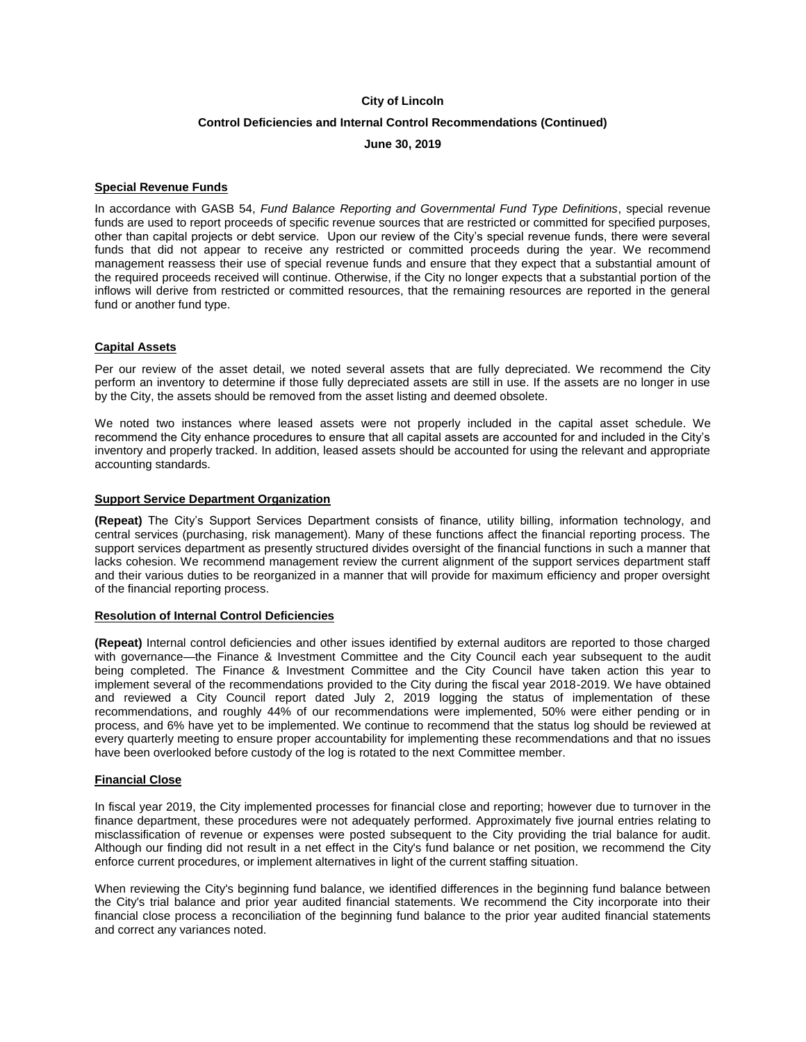## **Control Deficiencies and Internal Control Recommendations (Continued)**

**June 30, 2019**

### **Special Revenue Funds**

In accordance with GASB 54, *Fund Balance Reporting and Governmental Fund Type Definitions*, special revenue funds are used to report proceeds of specific revenue sources that are restricted or committed for specified purposes, other than capital projects or debt service. Upon our review of the City's special revenue funds, there were several funds that did not appear to receive any restricted or committed proceeds during the year. We recommend management reassess their use of special revenue funds and ensure that they expect that a substantial amount of the required proceeds received will continue. Otherwise, if the City no longer expects that a substantial portion of the inflows will derive from restricted or committed resources, that the remaining resources are reported in the general fund or another fund type.

### **Capital Assets**

Per our review of the asset detail, we noted several assets that are fully depreciated. We recommend the City perform an inventory to determine if those fully depreciated assets are still in use. If the assets are no longer in use by the City, the assets should be removed from the asset listing and deemed obsolete.

We noted two instances where leased assets were not properly included in the capital asset schedule. We recommend the City enhance procedures to ensure that all capital assets are accounted for and included in the City's inventory and properly tracked. In addition, leased assets should be accounted for using the relevant and appropriate accounting standards.

### **Support Service Department Organization**

**(Repeat)** The City's Support Services Department consists of finance, utility billing, information technology, and central services (purchasing, risk management). Many of these functions affect the financial reporting process. The support services department as presently structured divides oversight of the financial functions in such a manner that lacks cohesion. We recommend management review the current alignment of the support services department staff and their various duties to be reorganized in a manner that will provide for maximum efficiency and proper oversight of the financial reporting process.

### **Resolution of Internal Control Deficiencies**

**(Repeat)** Internal control deficiencies and other issues identified by external auditors are reported to those charged with governance—the Finance & Investment Committee and the City Council each year subsequent to the audit being completed. The Finance & Investment Committee and the City Council have taken action this year to implement several of the recommendations provided to the City during the fiscal year 2018-2019. We have obtained and reviewed a City Council report dated July 2, 2019 logging the status of implementation of these recommendations, and roughly 44% of our recommendations were implemented, 50% were either pending or in process, and 6% have yet to be implemented. We continue to recommend that the status log should be reviewed at every quarterly meeting to ensure proper accountability for implementing these recommendations and that no issues have been overlooked before custody of the log is rotated to the next Committee member.

#### **Financial Close**

In fiscal year 2019, the City implemented processes for financial close and reporting; however due to turnover in the finance department, these procedures were not adequately performed. Approximately five journal entries relating to misclassification of revenue or expenses were posted subsequent to the City providing the trial balance for audit. Although our finding did not result in a net effect in the City's fund balance or net position, we recommend the City enforce current procedures, or implement alternatives in light of the current staffing situation.

When reviewing the City's beginning fund balance, we identified differences in the beginning fund balance between the City's trial balance and prior year audited financial statements. We recommend the City incorporate into their financial close process a reconciliation of the beginning fund balance to the prior year audited financial statements and correct any variances noted.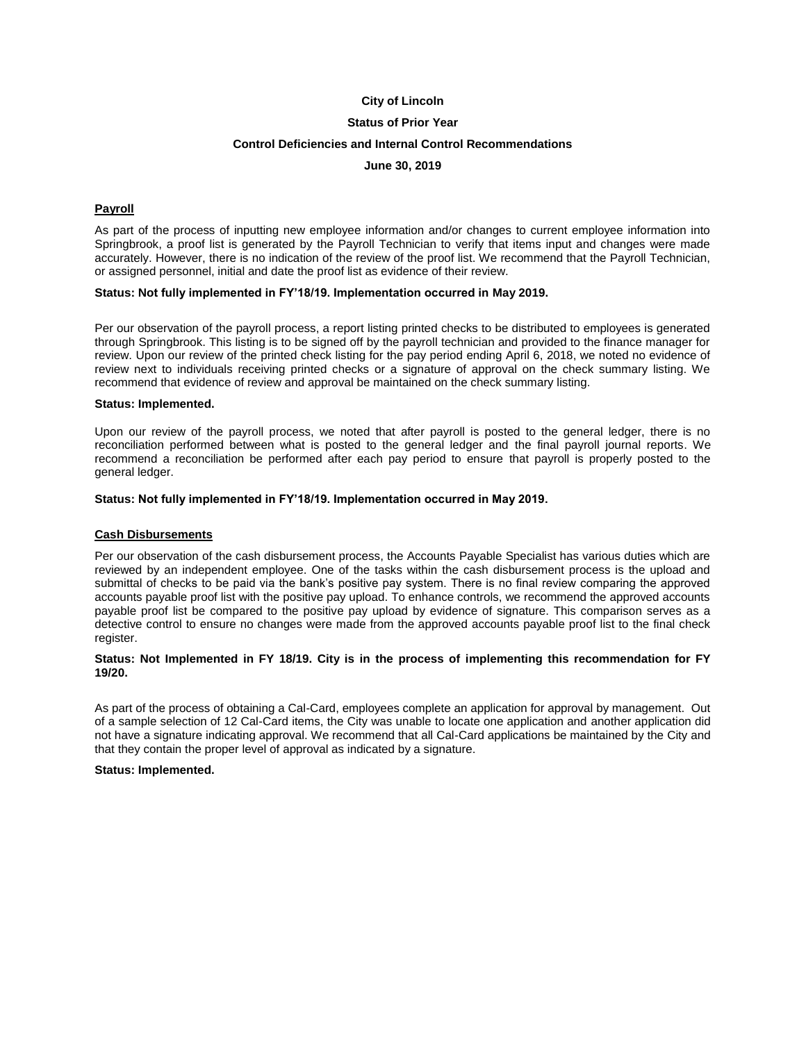## **Status of Prior Year**

### **Control Deficiencies and Internal Control Recommendations**

### **June 30, 2019**

## **Payroll**

As part of the process of inputting new employee information and/or changes to current employee information into Springbrook, a proof list is generated by the Payroll Technician to verify that items input and changes were made accurately. However, there is no indication of the review of the proof list. We recommend that the Payroll Technician, or assigned personnel, initial and date the proof list as evidence of their review.

#### **Status: Not fully implemented in FY'18/19. Implementation occurred in May 2019.**

Per our observation of the payroll process, a report listing printed checks to be distributed to employees is generated through Springbrook. This listing is to be signed off by the payroll technician and provided to the finance manager for review. Upon our review of the printed check listing for the pay period ending April 6, 2018, we noted no evidence of review next to individuals receiving printed checks or a signature of approval on the check summary listing. We recommend that evidence of review and approval be maintained on the check summary listing.

#### **Status: Implemented.**

Upon our review of the payroll process, we noted that after payroll is posted to the general ledger, there is no reconciliation performed between what is posted to the general ledger and the final payroll journal reports. We recommend a reconciliation be performed after each pay period to ensure that payroll is properly posted to the general ledger.

#### **Status: Not fully implemented in FY'18/19. Implementation occurred in May 2019.**

#### **Cash Disbursements**

Per our observation of the cash disbursement process, the Accounts Payable Specialist has various duties which are reviewed by an independent employee. One of the tasks within the cash disbursement process is the upload and submittal of checks to be paid via the bank's positive pay system. There is no final review comparing the approved accounts payable proof list with the positive pay upload. To enhance controls, we recommend the approved accounts payable proof list be compared to the positive pay upload by evidence of signature. This comparison serves as a detective control to ensure no changes were made from the approved accounts payable proof list to the final check register.

### **Status: Not Implemented in FY 18/19. City is in the process of implementing this recommendation for FY 19/20.**

As part of the process of obtaining a Cal-Card, employees complete an application for approval by management. Out of a sample selection of 12 Cal-Card items, the City was unable to locate one application and another application did not have a signature indicating approval. We recommend that all Cal-Card applications be maintained by the City and that they contain the proper level of approval as indicated by a signature.

#### **Status: Implemented.**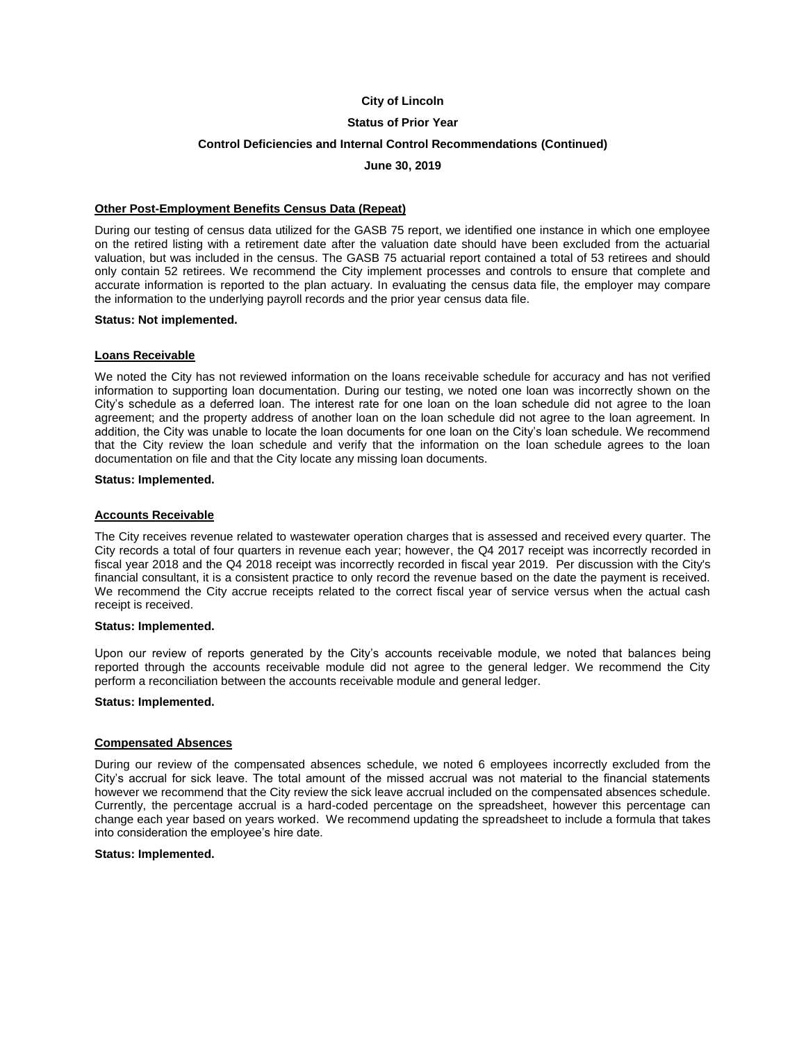# **Status of Prior Year**

## **Control Deficiencies and Internal Control Recommendations (Continued)**

**June 30, 2019**

### **Other Post-Employment Benefits Census Data (Repeat)**

During our testing of census data utilized for the GASB 75 report, we identified one instance in which one employee on the retired listing with a retirement date after the valuation date should have been excluded from the actuarial valuation, but was included in the census. The GASB 75 actuarial report contained a total of 53 retirees and should only contain 52 retirees. We recommend the City implement processes and controls to ensure that complete and accurate information is reported to the plan actuary. In evaluating the census data file, the employer may compare the information to the underlying payroll records and the prior year census data file.

### **Status: Not implemented.**

## **Loans Receivable**

We noted the City has not reviewed information on the loans receivable schedule for accuracy and has not verified information to supporting loan documentation. During our testing, we noted one loan was incorrectly shown on the City's schedule as a deferred loan. The interest rate for one loan on the loan schedule did not agree to the loan agreement; and the property address of another loan on the loan schedule did not agree to the loan agreement. In addition, the City was unable to locate the loan documents for one loan on the City's loan schedule. We recommend that the City review the loan schedule and verify that the information on the loan schedule agrees to the loan documentation on file and that the City locate any missing loan documents.

## **Status: Implemented.**

### **Accounts Receivable**

The City receives revenue related to wastewater operation charges that is assessed and received every quarter. The City records a total of four quarters in revenue each year; however, the Q4 2017 receipt was incorrectly recorded in fiscal year 2018 and the Q4 2018 receipt was incorrectly recorded in fiscal year 2019. Per discussion with the City's financial consultant, it is a consistent practice to only record the revenue based on the date the payment is received. We recommend the City accrue receipts related to the correct fiscal year of service versus when the actual cash receipt is received.

#### **Status: Implemented.**

Upon our review of reports generated by the City's accounts receivable module, we noted that balances being reported through the accounts receivable module did not agree to the general ledger. We recommend the City perform a reconciliation between the accounts receivable module and general ledger.

### **Status: Implemented.**

#### **Compensated Absences**

During our review of the compensated absences schedule, we noted 6 employees incorrectly excluded from the City's accrual for sick leave. The total amount of the missed accrual was not material to the financial statements however we recommend that the City review the sick leave accrual included on the compensated absences schedule. Currently, the percentage accrual is a hard-coded percentage on the spreadsheet, however this percentage can change each year based on years worked. We recommend updating the spreadsheet to include a formula that takes into consideration the employee's hire date.

#### **Status: Implemented.**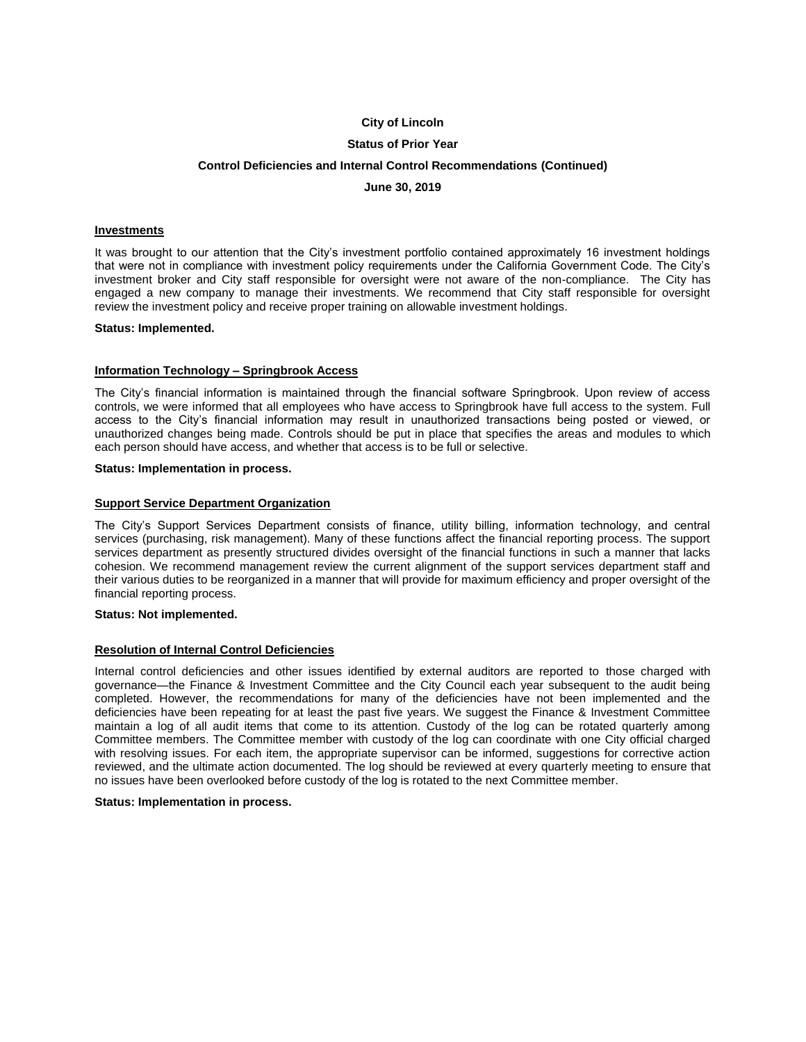## **Status of Prior Year**

## **Control Deficiencies and Internal Control Recommendations (Continued)**

**June 30, 2019**

### **Investments**

It was brought to our attention that the City's investment portfolio contained approximately 16 investment holdings that were not in compliance with investment policy requirements under the California Government Code. The City's investment broker and City staff responsible for oversight were not aware of the non-compliance. The City has engaged a new company to manage their investments. We recommend that City staff responsible for oversight review the investment policy and receive proper training on allowable investment holdings.

### **Status: Implemented.**

## **Information Technology – Springbrook Access**

The City's financial information is maintained through the financial software Springbrook. Upon review of access controls, we were informed that all employees who have access to Springbrook have full access to the system. Full access to the City's financial information may result in unauthorized transactions being posted or viewed, or unauthorized changes being made. Controls should be put in place that specifies the areas and modules to which each person should have access, and whether that access is to be full or selective.

### **Status: Implementation in process.**

## **Support Service Department Organization**

The City's Support Services Department consists of finance, utility billing, information technology, and central services (purchasing, risk management). Many of these functions affect the financial reporting process. The support services department as presently structured divides oversight of the financial functions in such a manner that lacks cohesion. We recommend management review the current alignment of the support services department staff and their various duties to be reorganized in a manner that will provide for maximum efficiency and proper oversight of the financial reporting process.

#### **Status: Not implemented.**

### **Resolution of Internal Control Deficiencies**

Internal control deficiencies and other issues identified by external auditors are reported to those charged with governance—the Finance & Investment Committee and the City Council each year subsequent to the audit being completed. However, the recommendations for many of the deficiencies have not been implemented and the deficiencies have been repeating for at least the past five years. We suggest the Finance & Investment Committee maintain a log of all audit items that come to its attention. Custody of the log can be rotated quarterly among Committee members. The Committee member with custody of the log can coordinate with one City official charged with resolving issues. For each item, the appropriate supervisor can be informed, suggestions for corrective action reviewed, and the ultimate action documented. The log should be reviewed at every quarterly meeting to ensure that no issues have been overlooked before custody of the log is rotated to the next Committee member.

### **Status: Implementation in process.**